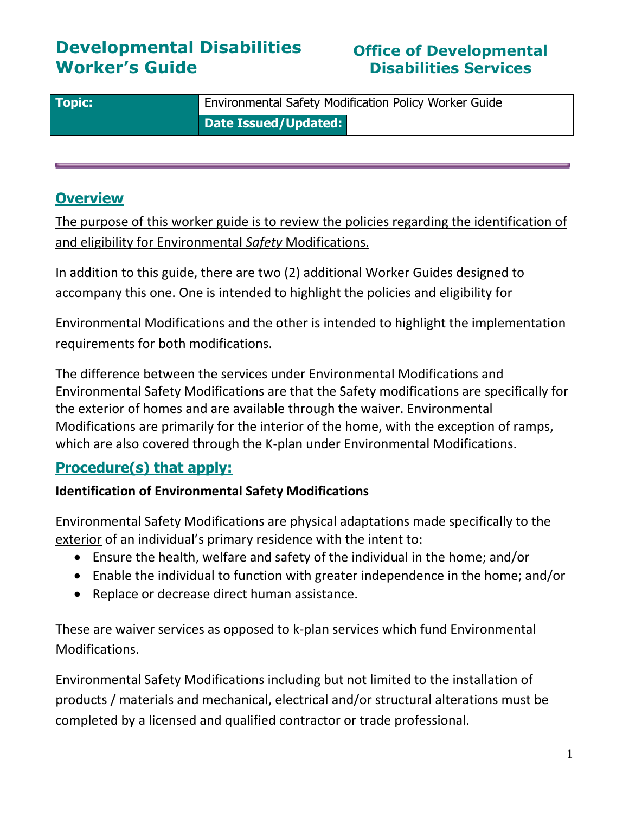# **Developmental Disabilities Worker's Guide**

# **Office of Developmental Disabilities Services**

| <b>Topic:</b> | Environmental Safety Modification Policy Worker Guide |
|---------------|-------------------------------------------------------|
|               | Date Issued/Updated:                                  |

# **Overview**

The purpose of this worker guide is to review the policies regarding the identification of and eligibility for Environmental *Safety* Modifications.

In addition to this guide, there are two (2) additional Worker Guides designed to accompany this one. One is intended to highlight the policies and eligibility for

Environmental Modifications and the other is intended to highlight the implementation requirements for both modifications.

The difference between the services under Environmental Modifications and Environmental Safety Modifications are that the Safety modifications are specifically for the exterior of homes and are available through the waiver. Environmental Modifications are primarily for the interior of the home, with the exception of ramps, which are also covered through the K-plan under Environmental Modifications.

# **Procedure(s) that apply:**

### **Identification of Environmental Safety Modifications**

Environmental Safety Modifications are physical adaptations made specifically to the exterior of an individual's primary residence with the intent to:

- Ensure the health, welfare and safety of the individual in the home; and/or
- Enable the individual to function with greater independence in the home; and/or
- Replace or decrease direct human assistance.

These are waiver services as opposed to k-plan services which fund Environmental Modifications.

Environmental Safety Modifications including but not limited to the installation of products / materials and mechanical, electrical and/or structural alterations must be completed by a licensed and qualified contractor or trade professional.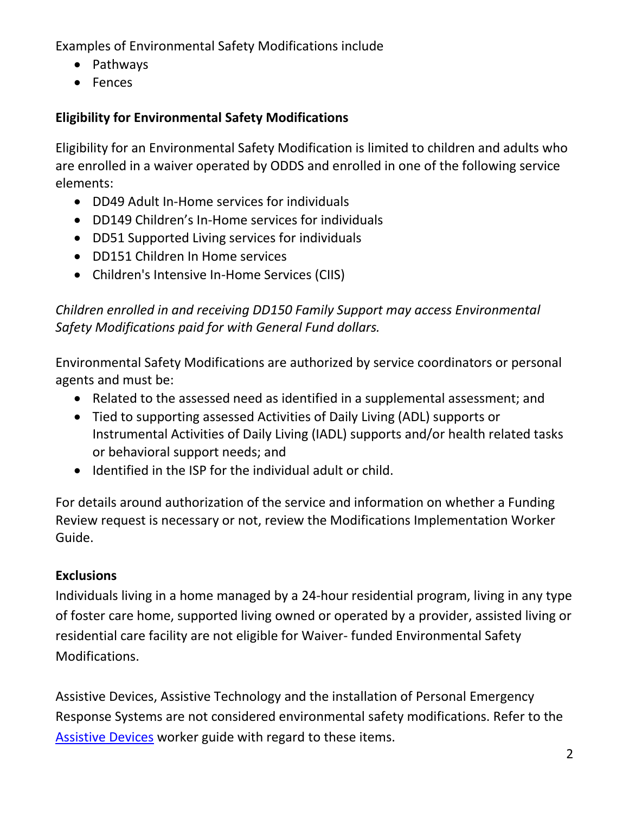Examples of Environmental Safety Modifications include

- Pathways
- Fences

# **Eligibility for Environmental Safety Modifications**

Eligibility for an Environmental Safety Modification is limited to children and adults who are enrolled in a waiver operated by ODDS and enrolled in one of the following service elements:

- DD49 Adult In-Home services for individuals
- DD149 Children's In-Home services for individuals
- DD51 Supported Living services for individuals
- DD151 Children In Home services
- Children's Intensive In-Home Services (CIIS)

*Children enrolled in and receiving DD150 Family Support may access Environmental Safety Modifications paid for with General Fund dollars.*

Environmental Safety Modifications are authorized by service coordinators or personal agents and must be:

- Related to the assessed need as identified in a supplemental assessment; and
- Tied to supporting assessed Activities of Daily Living (ADL) supports or Instrumental Activities of Daily Living (IADL) supports and/or health related tasks or behavioral support needs; and
- Identified in the ISP for the individual adult or child.

For details around authorization of the service and information on whether a Funding Review request is necessary or not, review the Modifications Implementation Worker Guide.

### **Exclusions**

Individuals living in a home managed by a 24-hour residential program, living in any type of foster care home, supported living owned or operated by a provider, assisted living or residential care facility are not eligible for Waiver- funded Environmental Safety Modifications.

Assistive Devices, Assistive Technology and the installation of Personal Emergency Response Systems are not considered environmental safety modifications. Refer to the [Assistive Devices](http://www.dhs.state.or.us/spd/tools/dd/cm/) worker guide with regard to these items.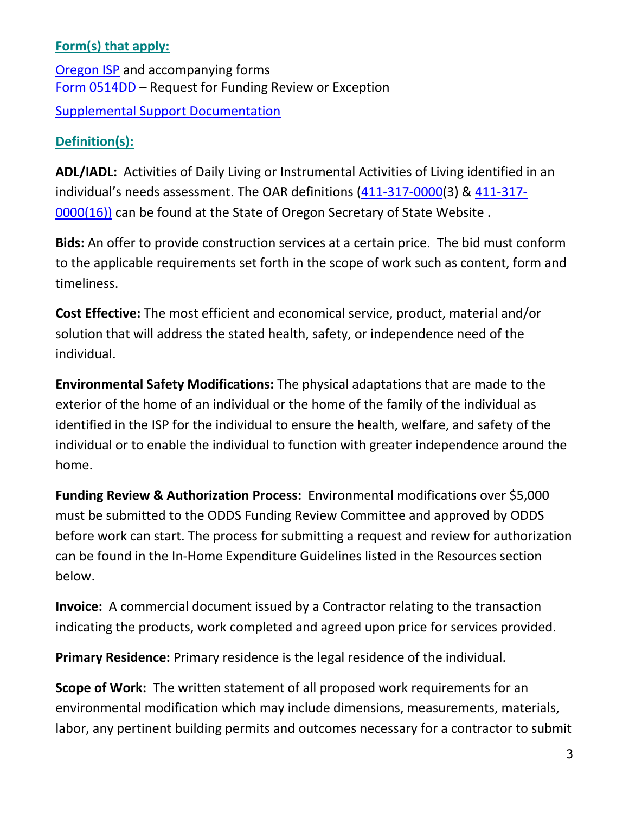#### **Form(s) that apply:**

[Oregon ISP](http://oregonisp.org/forms/) and accompanying forms [Form 0514DD](https://aix-xweb1p.state.or.us/es_xweb/FORMS/index.cfm?fuseaction=FORMS.noBindGrid) – Request for Funding Review or Exception [Supplemental Support Documentation](http://www.dhs.state.or.us/spd/tools/dd/cm/supas%20exp%20guide.pdf)

#### **Definition(s):**

**ADL/IADL:** Activities of Daily Living or Instrumental Activities of Living identified in an individual's needs assessment. The OAR definitions ([411-317-0000\(](http://arcweb.sos.state.or.us/pages/rules/oars_400/oar_411/411_325.html)3) & [411-317-](http://arcweb.sos.state.or.us/pages/rules/oars_400/oar_411/411_325.html) [0000\(16\)\)](http://arcweb.sos.state.or.us/pages/rules/oars_400/oar_411/411_325.html) can be found at the State of Oregon Secretary of State Website.

**Bids:** An offer to provide construction services at a certain price. The bid must conform to the applicable requirements set forth in the scope of work such as content, form and timeliness.

**Cost Effective:** The most efficient and economical service, product, material and/or solution that will address the stated health, safety, or independence need of the individual.

**Environmental Safety Modifications:** The physical adaptations that are made to the exterior of the home of an individual or the home of the family of the individual as identified in the ISP for the individual to ensure the health, welfare, and safety of the individual or to enable the individual to function with greater independence around the home.

**Funding Review & Authorization Process:** Environmental modifications over \$5,000 must be submitted to the ODDS Funding Review Committee and approved by ODDS before work can start. The process for submitting a request and review for authorization can be found in the In-Home Expenditure Guidelines listed in the Resources section below.

**Invoice:** A commercial document issued by a Contractor relating to the transaction indicating the products, work completed and agreed upon price for services provided.

**Primary Residence:** Primary residence is the legal residence of the individual.

**Scope of Work:** The written statement of all proposed work requirements for an environmental modification which may include dimensions, measurements, materials, labor, any pertinent building permits and outcomes necessary for a contractor to submit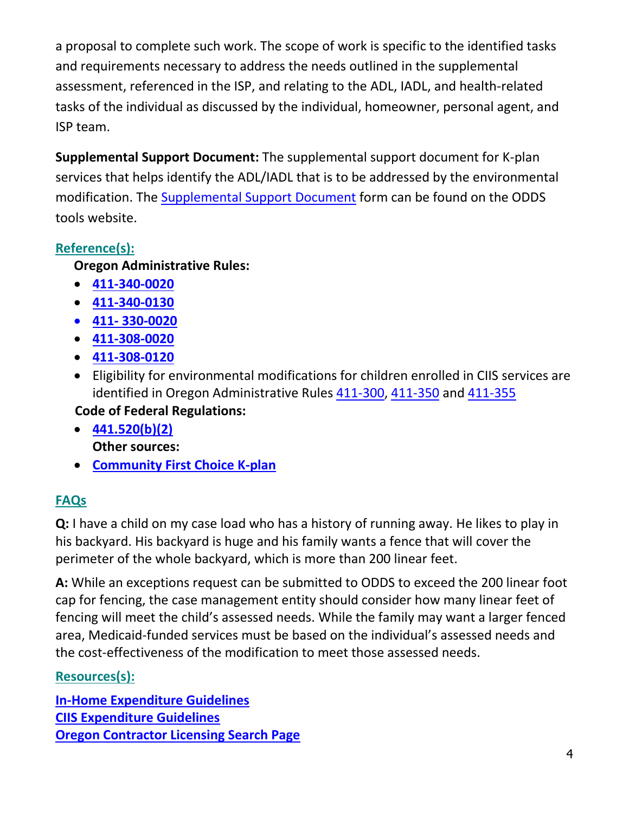a proposal to complete such work. The scope of work is specific to the identified tasks and requirements necessary to address the needs outlined in the supplemental assessment, referenced in the ISP, and relating to the ADL, IADL, and health-related tasks of the individual as discussed by the individual, homeowner, personal agent, and ISP team.

**Supplemental Support Document:** The supplemental support document for K-plan services that helps identify the ADL/IADL that is to be addressed by the environmental modification. The [Supplemental Support Document](http://www.dhs.state.or.us/spd/tools/dd/cm/supas%20exp%20guide.pdf) form can be found on the ODDS tools website.

## **Reference(s):**

#### **Oregon Administrative Rules:**

- **[411-340-0020](http://www.dhs.state.or.us/policy/spd/rules/411_340.pdf)**
- **[411-340-0130](http://www.dhs.state.or.us/policy/spd/rules/411_340.pdf)**
- **411- [330-0020](http://www.dhs.state.or.us/policy/spd/rules/411_330.pdf)**
- **[411-308-0020](http://www.dhs.state.or.us/policy/spd/rules/411_308.pdf)**
- **[411-308-0120](http://www.dhs.state.or.us/policy/spd/rules/411_308.pdf)**
- Eligibility for environmental modifications for children enrolled in CIIS services are identified in Oregon Administrative Rules [411-300,](http://www.dhs.state.or.us/policy/spd/rules/411_300.pdf) [411-350](http://www.dhs.state.or.us/policy/spd/rules/411_350.pdf) and [411-355](http://www.dhs.state.or.us/policy/spd/rules/411_355.pdf)

### **Code of Federal Regulations:**

- **[441.520\(b\)\(2\)](http://www.ecfr.gov/cgi-bin/text-idx?tpl=/ecfrbrowse/Title42/42cfr441_main_02.tpl) Other sources:**
- **[Community First Choice K-plan](http://www.oregon.gov/dhs/k-plan/Documents/K%20Option%20State%20Plan%20Amendment.pdf)**

### **FAQs**

**Q:** I have a child on my case load who has a history of running away. He likes to play in his backyard. His backyard is huge and his family wants a fence that will cover the perimeter of the whole backyard, which is more than 200 linear feet.

**A:** While an exceptions request can be submitted to ODDS to exceed the 200 linear foot cap for fencing, the case management entity should consider how many linear feet of fencing will meet the child's assessed needs. While the family may want a larger fenced area, Medicaid-funded services must be based on the individual's assessed needs and the cost-effectiveness of the modification to meet those assessed needs.

### **Resources(s)[:](https://www.dhs.state.or.us/spd/tools/dd/cm/ss_exp_guide.pdf)**

**[In-Home Expenditure Guidelines](https://www.dhs.state.or.us/spd/tools/dd/cm/ss_exp_guide.pdf)  [CIIS Expenditure Guidelines](https://www.dhs.state.or.us/spd/tools/dd/cm/CIIS-Expenditure-Guidelines.pdf) [Oregon Contractor Licensing Search Page](https://www.ccb.state.or.us/search/)**